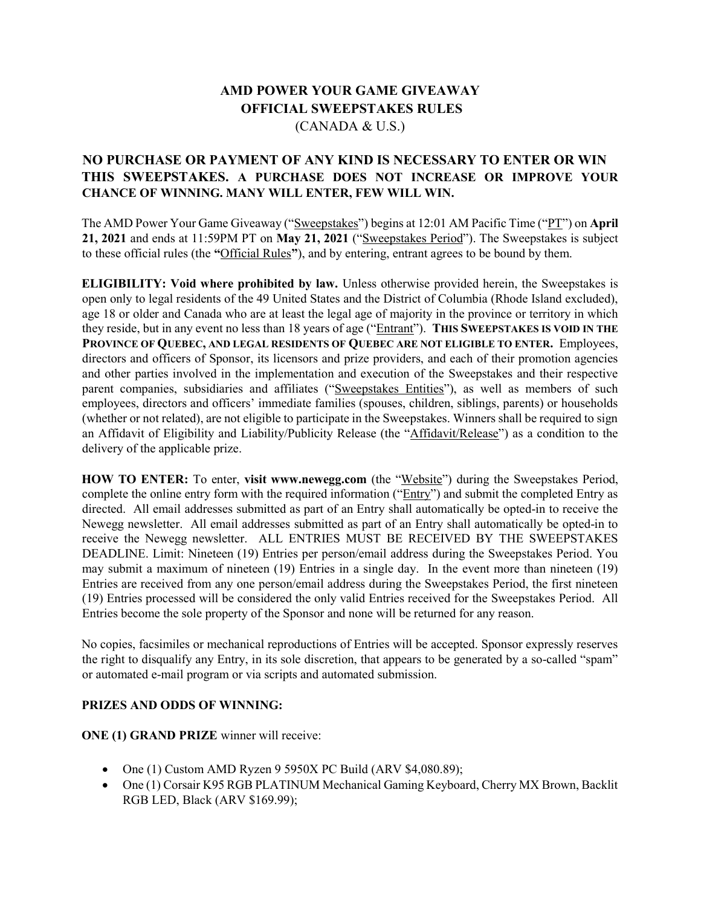## AMD POWER YOUR GAME GIVEAWAY OFFICIAL SWEEPSTAKES RULES (CANADA & U.S.)

## NO PURCHASE OR PAYMENT OF ANY KIND IS NECESSARY TO ENTER OR WIN THIS SWEEPSTAKES. A PURCHASE DOES NOT INCREASE OR IMPROVE YOUR CHANCE OF WINNING. MANY WILL ENTER, FEW WILL WIN.

The AMD Power Your Game Giveaway ("Sweepstakes") begins at 12:01 AM Pacific Time ("PT") on April 21, 2021 and ends at 11:59PM PT on May 21, 2021 ("Sweepstakes Period"). The Sweepstakes is subject to these official rules (the "Official Rules"), and by entering, entrant agrees to be bound by them.

ELIGIBILITY: Void where prohibited by law. Unless otherwise provided herein, the Sweepstakes is open only to legal residents of the 49 United States and the District of Columbia (Rhode Island excluded), age 18 or older and Canada who are at least the legal age of majority in the province or territory in which they reside, but in any event no less than 18 years of age ("Entrant"). THIS SWEEPSTAKES IS VOID IN THE PROVINCE OF QUEBEC, AND LEGAL RESIDENTS OF QUEBEC ARE NOT ELIGIBLE TO ENTER. Employees, directors and officers of Sponsor, its licensors and prize providers, and each of their promotion agencies and other parties involved in the implementation and execution of the Sweepstakes and their respective parent companies, subsidiaries and affiliates ("Sweepstakes Entities"), as well as members of such employees, directors and officers' immediate families (spouses, children, siblings, parents) or households (whether or not related), are not eligible to participate in the Sweepstakes. Winners shall be required to sign an Affidavit of Eligibility and Liability/Publicity Release (the "Affidavit/Release") as a condition to the delivery of the applicable prize.

HOW TO ENTER: To enter, visit www.newegg.com (the "Website") during the Sweepstakes Period, complete the online entry form with the required information ("Entry") and submit the completed Entry as directed. All email addresses submitted as part of an Entry shall automatically be opted-in to receive the Newegg newsletter. All email addresses submitted as part of an Entry shall automatically be opted-in to receive the Newegg newsletter. ALL ENTRIES MUST BE RECEIVED BY THE SWEEPSTAKES DEADLINE. Limit: Nineteen (19) Entries per person/email address during the Sweepstakes Period. You may submit a maximum of nineteen (19) Entries in a single day. In the event more than nineteen (19) Entries are received from any one person/email address during the Sweepstakes Period, the first nineteen (19) Entries processed will be considered the only valid Entries received for the Sweepstakes Period. All Entries become the sole property of the Sponsor and none will be returned for any reason.

No copies, facsimiles or mechanical reproductions of Entries will be accepted. Sponsor expressly reserves the right to disqualify any Entry, in its sole discretion, that appears to be generated by a so-called "spam" or automated e-mail program or via scripts and automated submission.

## PRIZES AND ODDS OF WINNING:

ONE (1) GRAND PRIZE winner will receive:

- One (1) Custom AMD Ryzen 9 5950X PC Build (ARV \$4,080.89);
- One (1) Corsair K95 RGB PLATINUM Mechanical Gaming Keyboard, Cherry MX Brown, Backlit RGB LED, Black (ARV \$169.99);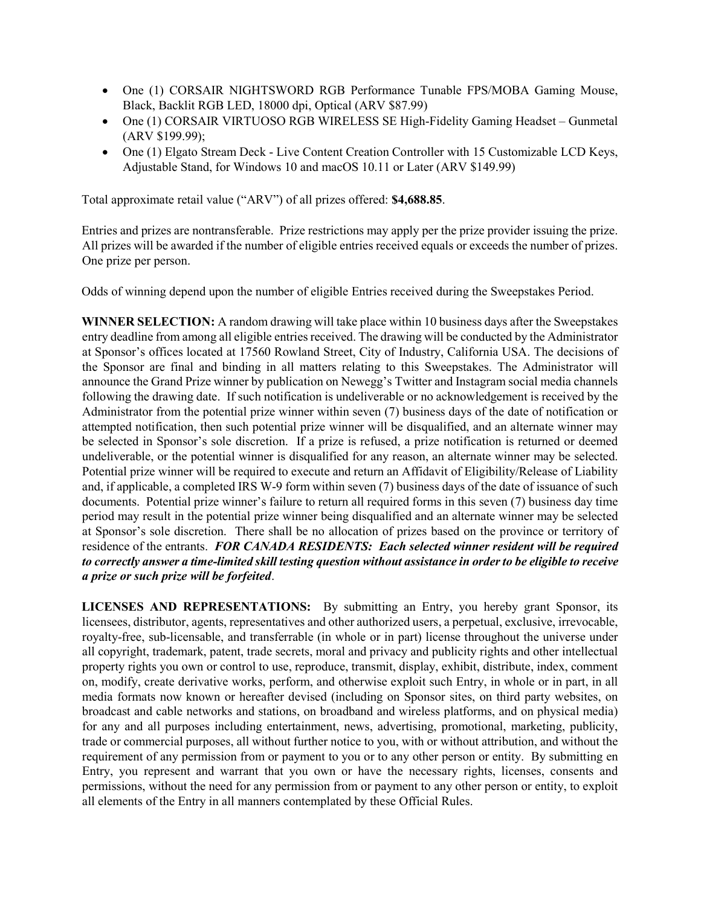- One (1) CORSAIR NIGHTSWORD RGB Performance Tunable FPS/MOBA Gaming Mouse, Black, Backlit RGB LED, 18000 dpi, Optical (ARV \$87.99)
- One (1) CORSAIR VIRTUOSO RGB WIRELESS SE High-Fidelity Gaming Headset Gunmetal (ARV \$199.99);
- One (1) Elgato Stream Deck Live Content Creation Controller with 15 Customizable LCD Keys, Adjustable Stand, for Windows 10 and macOS 10.11 or Later (ARV \$149.99)

Total approximate retail value ("ARV") of all prizes offered: \$4,688.85.

Entries and prizes are nontransferable. Prize restrictions may apply per the prize provider issuing the prize. All prizes will be awarded if the number of eligible entries received equals or exceeds the number of prizes. One prize per person.

Odds of winning depend upon the number of eligible Entries received during the Sweepstakes Period.

WINNER SELECTION: A random drawing will take place within 10 business days after the Sweepstakes entry deadline from among all eligible entries received. The drawing will be conducted by the Administrator at Sponsor's offices located at 17560 Rowland Street, City of Industry, California USA. The decisions of the Sponsor are final and binding in all matters relating to this Sweepstakes. The Administrator will announce the Grand Prize winner by publication on Newegg's Twitter and Instagram social media channels following the drawing date. If such notification is undeliverable or no acknowledgement is received by the Administrator from the potential prize winner within seven (7) business days of the date of notification or attempted notification, then such potential prize winner will be disqualified, and an alternate winner may be selected in Sponsor's sole discretion. If a prize is refused, a prize notification is returned or deemed undeliverable, or the potential winner is disqualified for any reason, an alternate winner may be selected. Potential prize winner will be required to execute and return an Affidavit of Eligibility/Release of Liability and, if applicable, a completed IRS W-9 form within seven (7) business days of the date of issuance of such documents. Potential prize winner's failure to return all required forms in this seven (7) business day time period may result in the potential prize winner being disqualified and an alternate winner may be selected at Sponsor's sole discretion. There shall be no allocation of prizes based on the province or territory of residence of the entrants. FOR CANADA RESIDENTS: Each selected winner resident will be required to correctly answer a time-limited skill testing question without assistance in order to be eligible to receive a prize or such prize will be forfeited.

LICENSES AND REPRESENTATIONS: By submitting an Entry, you hereby grant Sponsor, its licensees, distributor, agents, representatives and other authorized users, a perpetual, exclusive, irrevocable, royalty-free, sub-licensable, and transferrable (in whole or in part) license throughout the universe under all copyright, trademark, patent, trade secrets, moral and privacy and publicity rights and other intellectual property rights you own or control to use, reproduce, transmit, display, exhibit, distribute, index, comment on, modify, create derivative works, perform, and otherwise exploit such Entry, in whole or in part, in all media formats now known or hereafter devised (including on Sponsor sites, on third party websites, on broadcast and cable networks and stations, on broadband and wireless platforms, and on physical media) for any and all purposes including entertainment, news, advertising, promotional, marketing, publicity, trade or commercial purposes, all without further notice to you, with or without attribution, and without the requirement of any permission from or payment to you or to any other person or entity. By submitting en Entry, you represent and warrant that you own or have the necessary rights, licenses, consents and permissions, without the need for any permission from or payment to any other person or entity, to exploit all elements of the Entry in all manners contemplated by these Official Rules.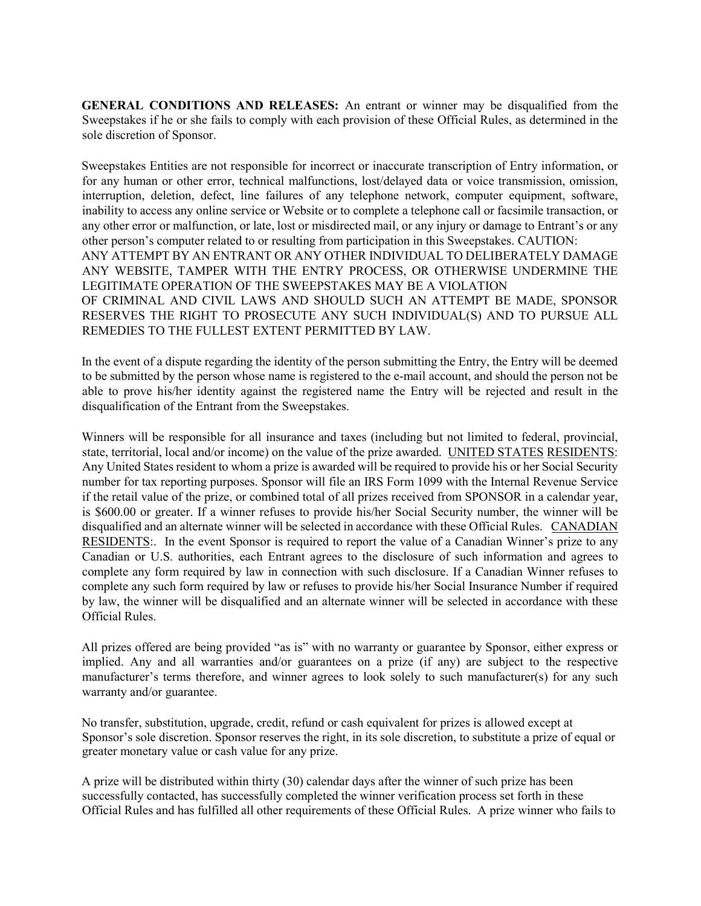GENERAL CONDITIONS AND RELEASES: An entrant or winner may be disqualified from the Sweepstakes if he or she fails to comply with each provision of these Official Rules, as determined in the sole discretion of Sponsor.

Sweepstakes Entities are not responsible for incorrect or inaccurate transcription of Entry information, or for any human or other error, technical malfunctions, lost/delayed data or voice transmission, omission, interruption, deletion, defect, line failures of any telephone network, computer equipment, software, inability to access any online service or Website or to complete a telephone call or facsimile transaction, or any other error or malfunction, or late, lost or misdirected mail, or any injury or damage to Entrant's or any other person's computer related to or resulting from participation in this Sweepstakes. CAUTION: ANY ATTEMPT BY AN ENTRANT OR ANY OTHER INDIVIDUAL TO DELIBERATELY DAMAGE ANY WEBSITE, TAMPER WITH THE ENTRY PROCESS, OR OTHERWISE UNDERMINE THE LEGITIMATE OPERATION OF THE SWEEPSTAKES MAY BE A VIOLATION OF CRIMINAL AND CIVIL LAWS AND SHOULD SUCH AN ATTEMPT BE MADE, SPONSOR RESERVES THE RIGHT TO PROSECUTE ANY SUCH INDIVIDUAL(S) AND TO PURSUE ALL REMEDIES TO THE FULLEST EXTENT PERMITTED BY LAW.

In the event of a dispute regarding the identity of the person submitting the Entry, the Entry will be deemed to be submitted by the person whose name is registered to the e-mail account, and should the person not be able to prove his/her identity against the registered name the Entry will be rejected and result in the disqualification of the Entrant from the Sweepstakes.

Winners will be responsible for all insurance and taxes (including but not limited to federal, provincial, state, territorial, local and/or income) on the value of the prize awarded. UNITED STATES RESIDENTS: Any United States resident to whom a prize is awarded will be required to provide his or her Social Security number for tax reporting purposes. Sponsor will file an IRS Form 1099 with the Internal Revenue Service if the retail value of the prize, or combined total of all prizes received from SPONSOR in a calendar year, is \$600.00 or greater. If a winner refuses to provide his/her Social Security number, the winner will be disqualified and an alternate winner will be selected in accordance with these Official Rules. CANADIAN RESIDENTS:. In the event Sponsor is required to report the value of a Canadian Winner's prize to any Canadian or U.S. authorities, each Entrant agrees to the disclosure of such information and agrees to complete any form required by law in connection with such disclosure. If a Canadian Winner refuses to complete any such form required by law or refuses to provide his/her Social Insurance Number if required by law, the winner will be disqualified and an alternate winner will be selected in accordance with these Official Rules.

All prizes offered are being provided "as is" with no warranty or guarantee by Sponsor, either express or implied. Any and all warranties and/or guarantees on a prize (if any) are subject to the respective manufacturer's terms therefore, and winner agrees to look solely to such manufacturer(s) for any such warranty and/or guarantee.

No transfer, substitution, upgrade, credit, refund or cash equivalent for prizes is allowed except at Sponsor's sole discretion. Sponsor reserves the right, in its sole discretion, to substitute a prize of equal or greater monetary value or cash value for any prize.

A prize will be distributed within thirty (30) calendar days after the winner of such prize has been successfully contacted, has successfully completed the winner verification process set forth in these Official Rules and has fulfilled all other requirements of these Official Rules. A prize winner who fails to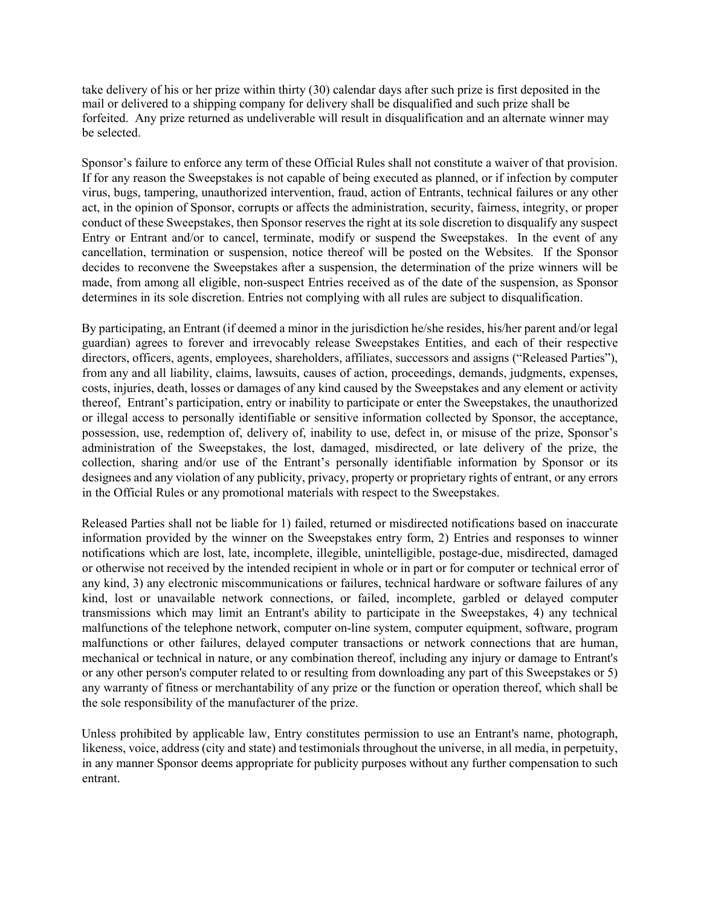take delivery of his or her prize within thirty (30) calendar days after such prize is first deposited in the mail or delivered to a shipping company for delivery shall be disqualified and such prize shall be forfeited. Any prize returned as undeliverable will result in disqualification and an alternate winner may be selected.

Sponsor's failure to enforce any term of these Official Rules shall not constitute a waiver of that provision. If for any reason the Sweepstakes is not capable of being executed as planned, or if infection by computer virus, bugs, tampering, unauthorized intervention, fraud, action of Entrants, technical failures or any other act, in the opinion of Sponsor, corrupts or affects the administration, security, fairness, integrity, or proper conduct of these Sweepstakes, then Sponsor reserves the right at its sole discretion to disqualify any suspect Entry or Entrant and/or to cancel, terminate, modify or suspend the Sweepstakes. In the event of any cancellation, termination or suspension, notice thereof will be posted on the Websites. If the Sponsor decides to reconvene the Sweepstakes after a suspension, the determination of the prize winners will be made, from among all eligible, non-suspect Entries received as of the date of the suspension, as Sponsor determines in its sole discretion. Entries not complying with all rules are subject to disqualification.

By participating, an Entrant (if deemed a minor in the jurisdiction he/she resides, his/her parent and/or legal guardian) agrees to forever and irrevocably release Sweepstakes Entities, and each of their respective directors, officers, agents, employees, shareholders, affiliates, successors and assigns ("Released Parties"), from any and all liability, claims, lawsuits, causes of action, proceedings, demands, judgments, expenses, costs, injuries, death, losses or damages of any kind caused by the Sweepstakes and any element or activity thereof, Entrant's participation, entry or inability to participate or enter the Sweepstakes, the unauthorized or illegal access to personally identifiable or sensitive information collected by Sponsor, the acceptance, possession, use, redemption of, delivery of, inability to use, defect in, or misuse of the prize, Sponsor's administration of the Sweepstakes, the lost, damaged, misdirected, or late delivery of the prize, the collection, sharing and/or use of the Entrant's personally identifiable information by Sponsor or its designees and any violation of any publicity, privacy, property or proprietary rights of entrant, or any errors in the Official Rules or any promotional materials with respect to the Sweepstakes.

Released Parties shall not be liable for 1) failed, returned or misdirected notifications based on inaccurate information provided by the winner on the Sweepstakes entry form, 2) Entries and responses to winner notifications which are lost, late, incomplete, illegible, unintelligible, postage-due, misdirected, damaged or otherwise not received by the intended recipient in whole or in part or for computer or technical error of any kind, 3) any electronic miscommunications or failures, technical hardware or software failures of any kind, lost or unavailable network connections, or failed, incomplete, garbled or delayed computer transmissions which may limit an Entrant's ability to participate in the Sweepstakes, 4) any technical malfunctions of the telephone network, computer on-line system, computer equipment, software, program malfunctions or other failures, delayed computer transactions or network connections that are human, mechanical or technical in nature, or any combination thereof, including any injury or damage to Entrant's or any other person's computer related to or resulting from downloading any part of this Sweepstakes or 5) any warranty of fitness or merchantability of any prize or the function or operation thereof, which shall be the sole responsibility of the manufacturer of the prize.

Unless prohibited by applicable law, Entry constitutes permission to use an Entrant's name, photograph, likeness, voice, address (city and state) and testimonials throughout the universe, in all media, in perpetuity, in any manner Sponsor deems appropriate for publicity purposes without any further compensation to such entrant.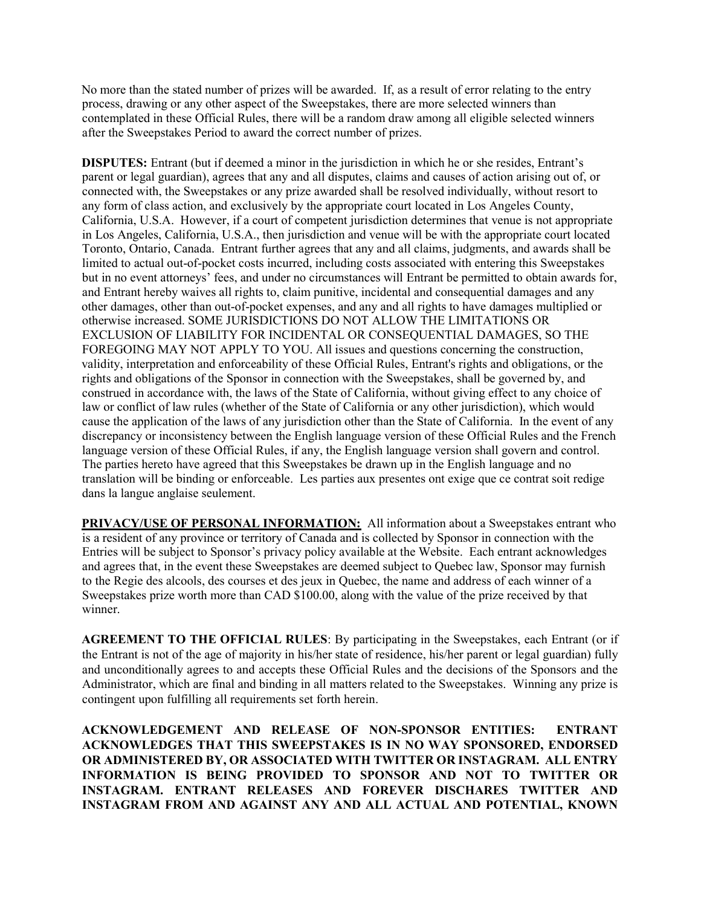No more than the stated number of prizes will be awarded. If, as a result of error relating to the entry process, drawing or any other aspect of the Sweepstakes, there are more selected winners than contemplated in these Official Rules, there will be a random draw among all eligible selected winners after the Sweepstakes Period to award the correct number of prizes.

DISPUTES: Entrant (but if deemed a minor in the jurisdiction in which he or she resides, Entrant's parent or legal guardian), agrees that any and all disputes, claims and causes of action arising out of, or connected with, the Sweepstakes or any prize awarded shall be resolved individually, without resort to any form of class action, and exclusively by the appropriate court located in Los Angeles County, California, U.S.A. However, if a court of competent jurisdiction determines that venue is not appropriate in Los Angeles, California, U.S.A., then jurisdiction and venue will be with the appropriate court located Toronto, Ontario, Canada. Entrant further agrees that any and all claims, judgments, and awards shall be limited to actual out-of-pocket costs incurred, including costs associated with entering this Sweepstakes but in no event attorneys' fees, and under no circumstances will Entrant be permitted to obtain awards for, and Entrant hereby waives all rights to, claim punitive, incidental and consequential damages and any other damages, other than out-of-pocket expenses, and any and all rights to have damages multiplied or otherwise increased. SOME JURISDICTIONS DO NOT ALLOW THE LIMITATIONS OR EXCLUSION OF LIABILITY FOR INCIDENTAL OR CONSEQUENTIAL DAMAGES, SO THE FOREGOING MAY NOT APPLY TO YOU. All issues and questions concerning the construction, validity, interpretation and enforceability of these Official Rules, Entrant's rights and obligations, or the rights and obligations of the Sponsor in connection with the Sweepstakes, shall be governed by, and construed in accordance with, the laws of the State of California, without giving effect to any choice of law or conflict of law rules (whether of the State of California or any other jurisdiction), which would cause the application of the laws of any jurisdiction other than the State of California. In the event of any discrepancy or inconsistency between the English language version of these Official Rules and the French language version of these Official Rules, if any, the English language version shall govern and control. The parties hereto have agreed that this Sweepstakes be drawn up in the English language and no translation will be binding or enforceable. Les parties aux presentes ont exige que ce contrat soit redige dans la langue anglaise seulement.

PRIVACY/USE OF PERSONAL INFORMATION: All information about a Sweepstakes entrant who is a resident of any province or territory of Canada and is collected by Sponsor in connection with the Entries will be subject to Sponsor's privacy policy available at the Website. Each entrant acknowledges and agrees that, in the event these Sweepstakes are deemed subject to Quebec law, Sponsor may furnish to the Regie des alcools, des courses et des jeux in Quebec, the name and address of each winner of a Sweepstakes prize worth more than CAD \$100.00, along with the value of the prize received by that winner.

AGREEMENT TO THE OFFICIAL RULES: By participating in the Sweepstakes, each Entrant (or if the Entrant is not of the age of majority in his/her state of residence, his/her parent or legal guardian) fully and unconditionally agrees to and accepts these Official Rules and the decisions of the Sponsors and the Administrator, which are final and binding in all matters related to the Sweepstakes. Winning any prize is contingent upon fulfilling all requirements set forth herein.

ACKNOWLEDGEMENT AND RELEASE OF NON-SPONSOR ENTITIES: ENTRANT ACKNOWLEDGES THAT THIS SWEEPSTAKES IS IN NO WAY SPONSORED, ENDORSED OR ADMINISTERED BY, OR ASSOCIATED WITH TWITTER OR INSTAGRAM. ALL ENTRY INFORMATION IS BEING PROVIDED TO SPONSOR AND NOT TO TWITTER OR INSTAGRAM. ENTRANT RELEASES AND FOREVER DISCHARES TWITTER AND INSTAGRAM FROM AND AGAINST ANY AND ALL ACTUAL AND POTENTIAL, KNOWN